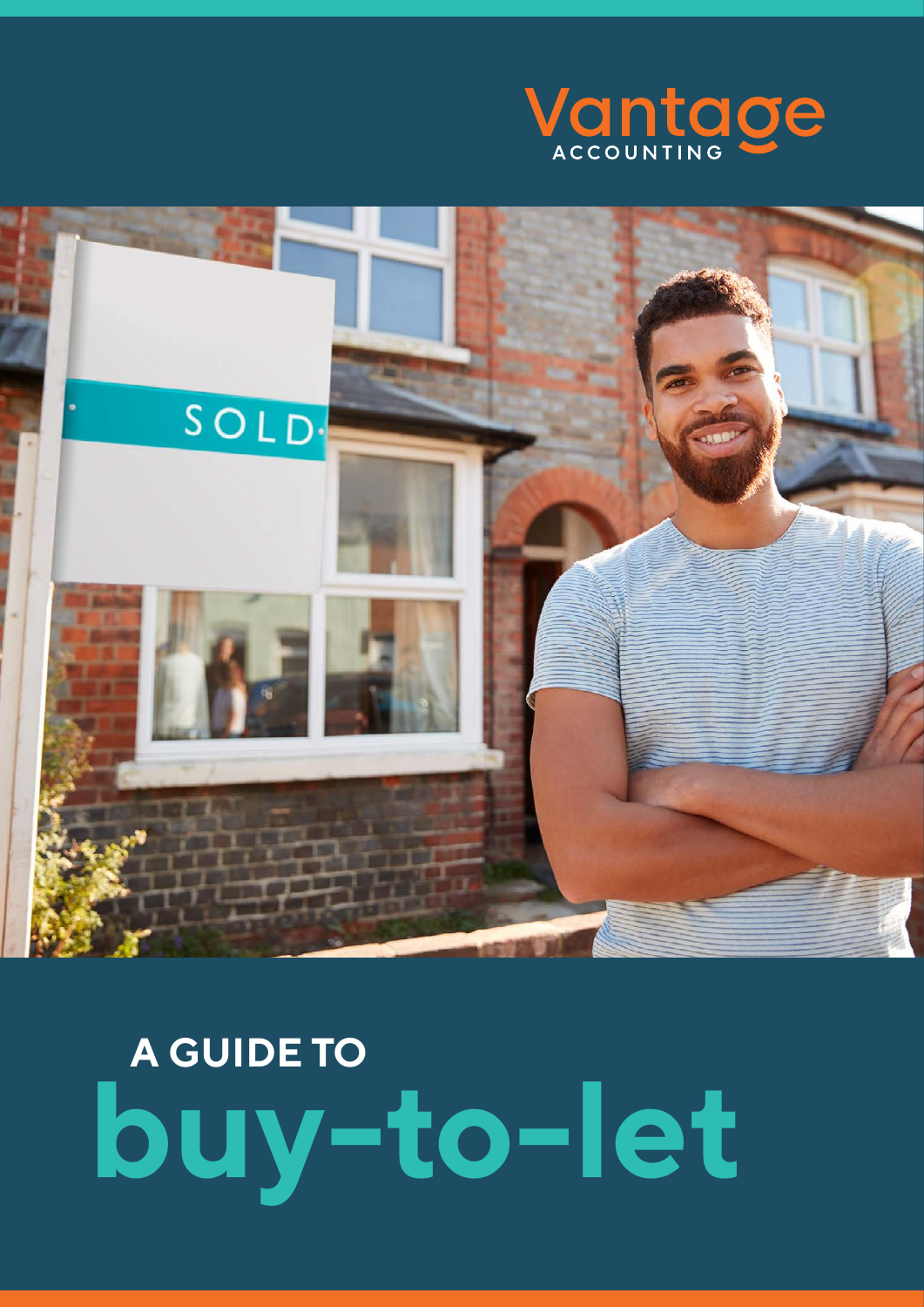



# **A GUIDE TO buy-to-let**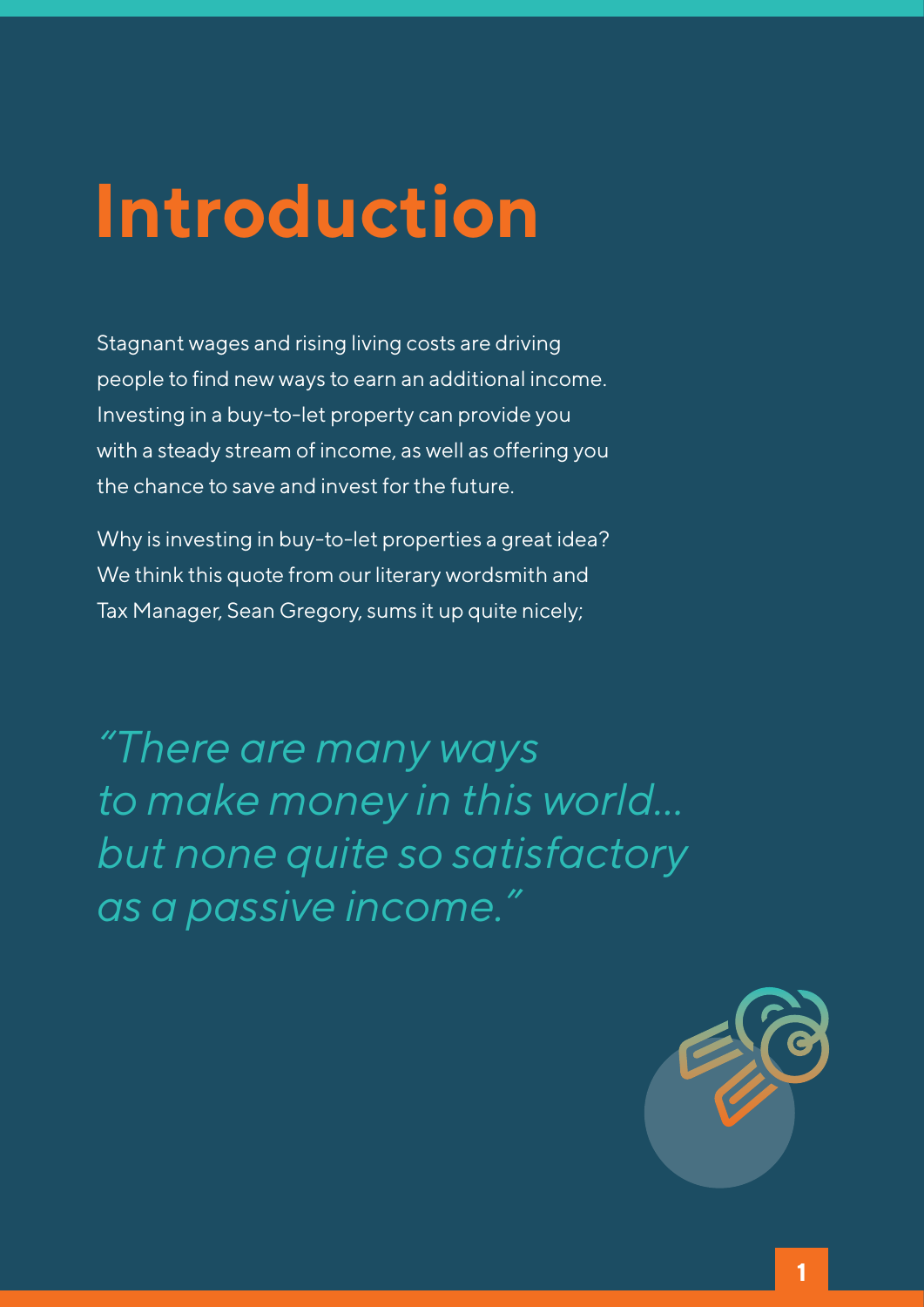### **Introduction**

Stagnant wages and rising living costs are driving people to find new ways to earn an additional income. Investing in a buy-to-let property can provide you with a steady stream of income, as well as offering you the chance to save and invest for the future.

Why is investing in buy-to-let properties a great idea? We think this quote from our literary wordsmith and Tax Manager, Sean Gregory, sums it up quite nicely;

*"There are many ways to make money in this world… but none quite so satisfactory as a passive income."*

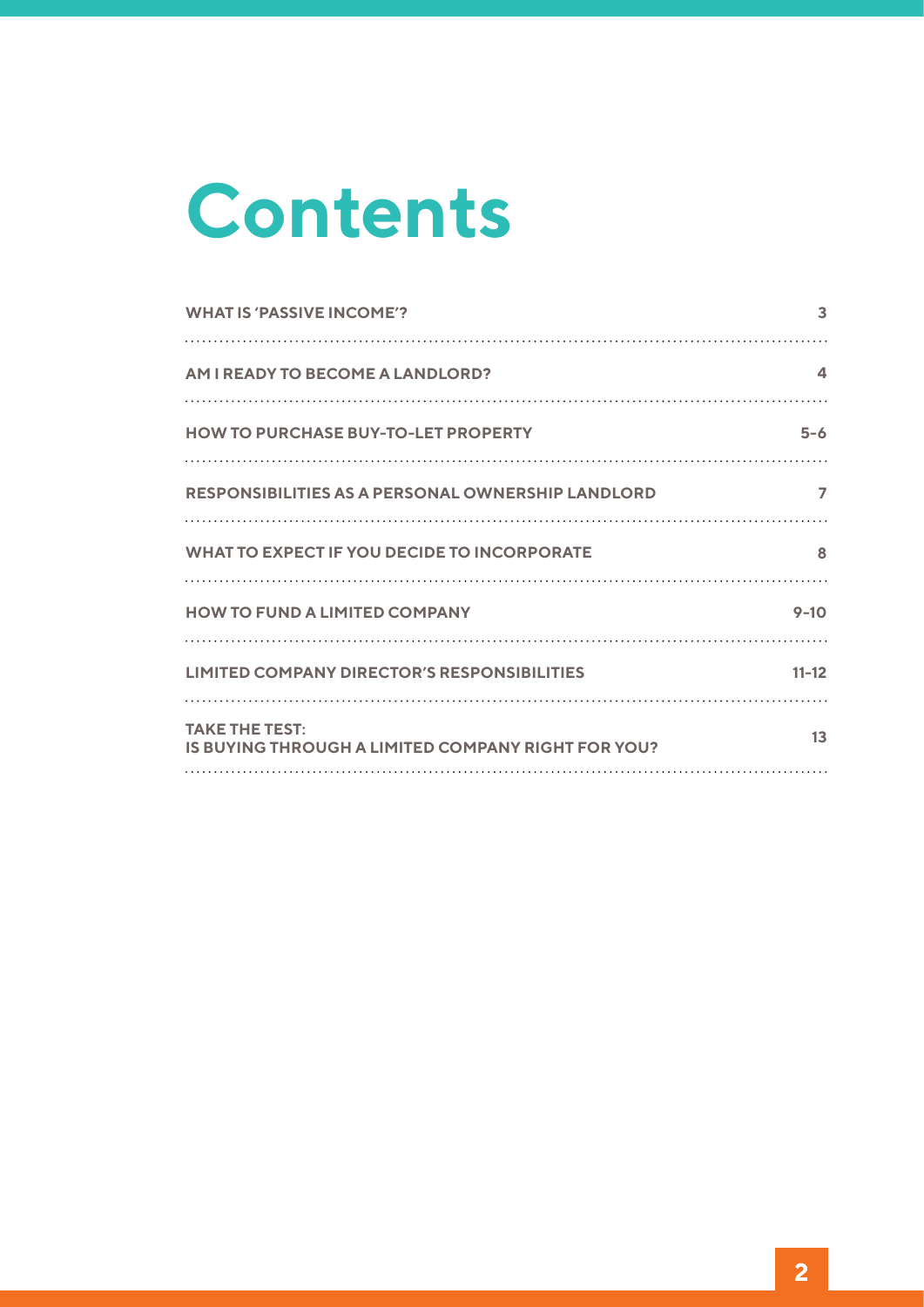# **Contents**

| <b>WHAT IS 'PASSIVE INCOME'?</b>                                            | 3              |
|-----------------------------------------------------------------------------|----------------|
| <b>AM I READY TO BECOME A LANDLORD?</b>                                     | 4              |
| <b>HOW TO PURCHASE BUY-TO-LET PROPERTY</b>                                  | $5 - 6$        |
| <b>RESPONSIBILITIES AS A PERSONAL OWNERSHIP LANDLORD</b>                    | $\overline{ }$ |
| <b>WHAT TO EXPECT IF YOU DECIDE TO INCORPORATE</b>                          | 8              |
| <b>HOW TO FUND A LIMITED COMPANY</b>                                        | $9 - 10$       |
| <b>LIMITED COMPANY DIRECTOR'S RESPONSIBILITIES</b>                          | $11 - 12$      |
| <b>TAKE THE TEST:</b><br>IS BUYING THROUGH A LIMITED COMPANY RIGHT FOR YOU? | 13             |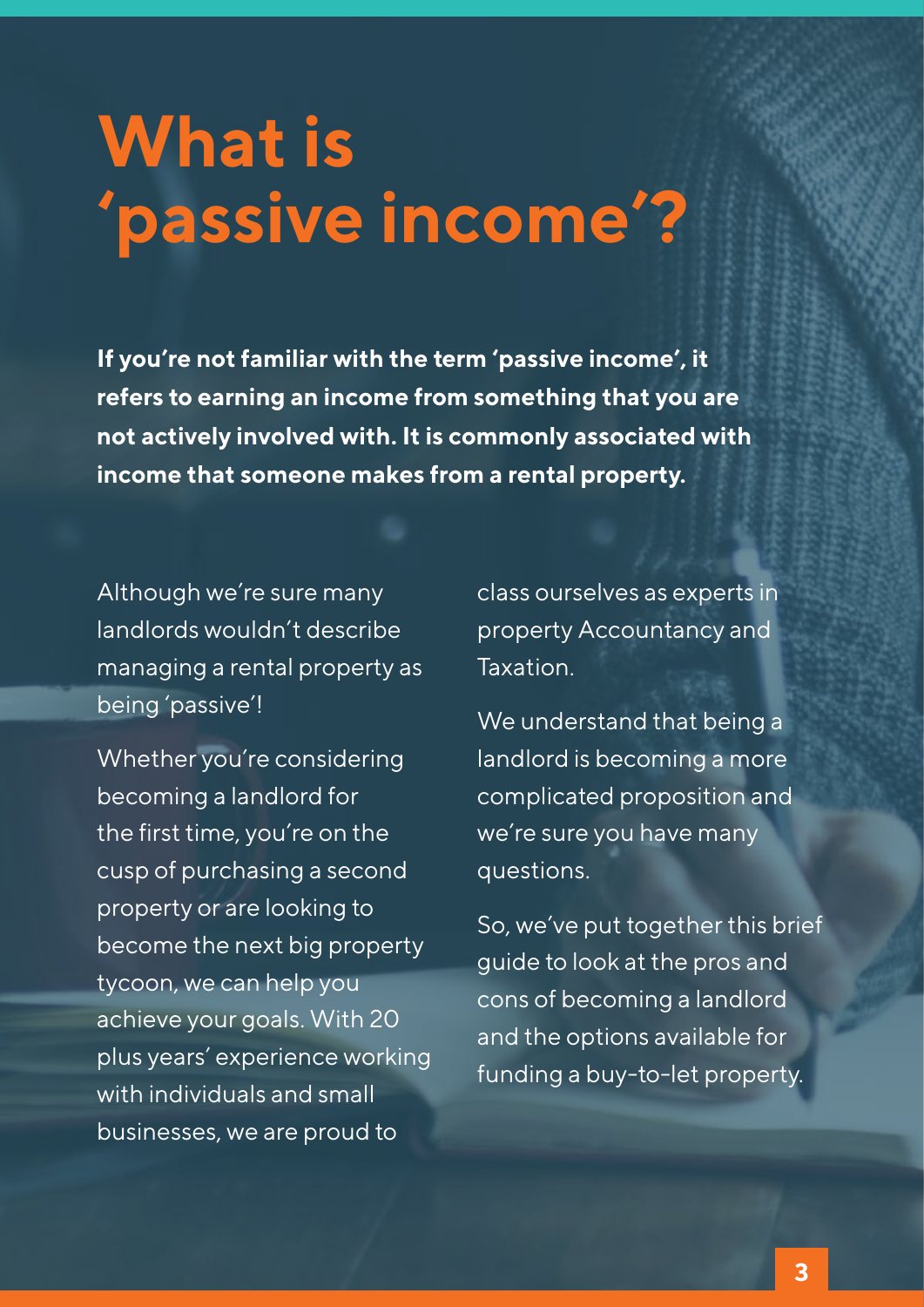### **What is 'passive income'?**

**If you're not familiar with the term 'passive income', it refers to earning an income from something that you are not actively involved with. It is commonly associated with income that someone makes from a rental property.**

Although we're sure many landlords wouldn't describe managing a rental property as being 'passive'!

Whether you're considering becoming a landlord for the first time, you're on the cusp of purchasing a second property or are looking to become the next big property tycoon, we can help you achieve your goals. With 20 plus years' experience working with individuals and small businesses, we are proud to

class ourselves as experts in property Accountancy and Taxation.

We understand that being a landlord is becoming a more complicated proposition and we're sure you have many questions.

So, we've put together this brief guide to look at the pros and cons of becoming a landlord and the options available for funding a buy-to-let property.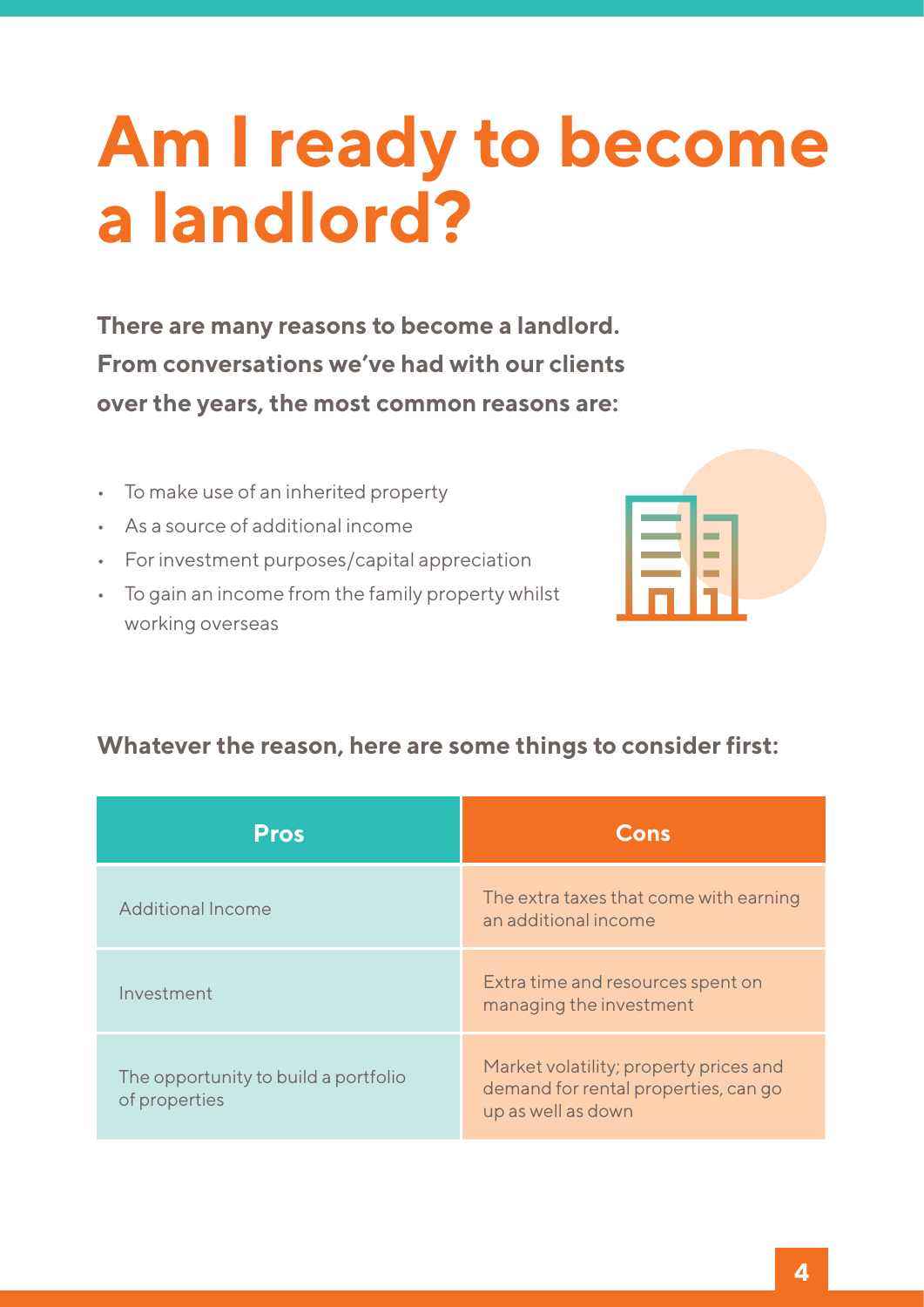### **Am I ready to become a landlord?**

**There are many reasons to become a landlord. From conversations we've had with our clients over the years, the most common reasons are:**

- • To make use of an inherited property
- As a source of additional income
- • For investment purposes/capital appreciation
- • To gain an income from the family property whilst working overseas



#### **Whatever the reason, here are some things to consider first:**

| <b>Pros</b>                                           | Cons                                                                                                 |
|-------------------------------------------------------|------------------------------------------------------------------------------------------------------|
| <b>Additional Income</b>                              | The extra taxes that come with earning<br>an additional income                                       |
| Investment                                            | Extra time and resources spent on<br>managing the investment                                         |
| The opportunity to build a portfolio<br>of properties | Market volatility; property prices and<br>demand for rental properties, can go<br>up as well as down |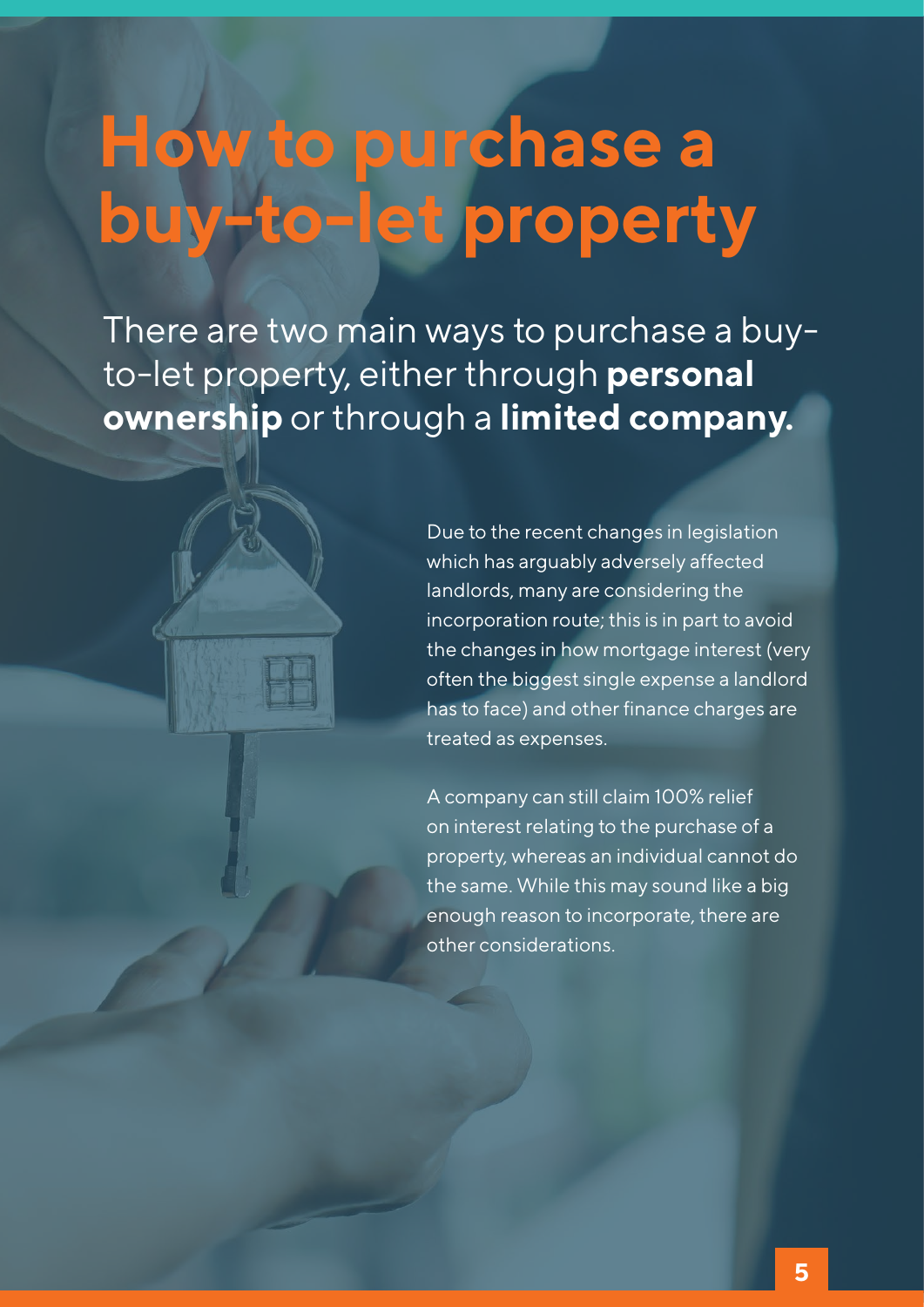## **How to purchase a buy-to-let property**

There are two main ways to purchase a buyto-let property, either through **personal ownership** or through a **limited company.**

> Due to the recent changes in legislation which has arguably adversely affected landlords, many are considering the incorporation route; this is in part to avoid the changes in how mortgage interest (very often the biggest single expense a landlord has to face) and other finance charges are treated as expenses.

A company can still claim 100% relief on interest relating to the purchase of a property, whereas an individual cannot do the same. While this may sound like a big enough reason to incorporate, there are other considerations.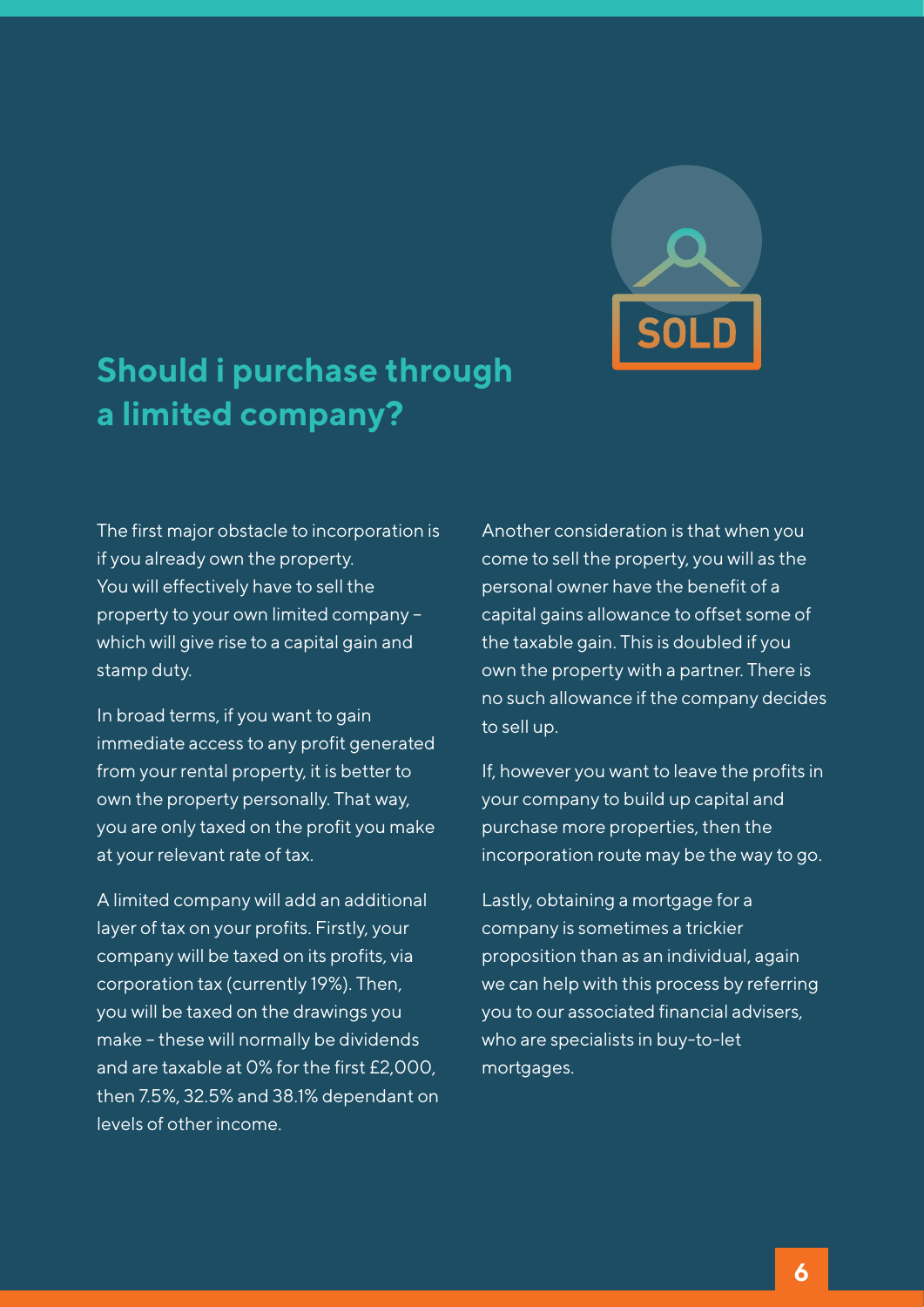

### **Should i purchase through a limited company?**

The first major obstacle to incorporation is if you already own the property. You will effectively have to sell the property to your own limited company – which will give rise to a capital gain and stamp duty.

In broad terms, if you want to gain immediate access to any profit generated from your rental property, it is better to own the property personally. That way, you are only taxed on the profit you make at your relevant rate of tax.

A limited company will add an additional layer of tax on your profits. Firstly, your company will be taxed on its profits, via corporation tax (currently 19%). Then, you will be taxed on the drawings you make – these will normally be dividends and are taxable at 0% for the first £2,000, then 7.5%, 32.5% and 38.1% dependant on levels of other income.

Another consideration is that when you come to sell the property, you will as the personal owner have the benefit of a capital gains allowance to offset some of the taxable gain. This is doubled if you own the property with a partner. There is no such allowance if the company decides to sell up.

If, however you want to leave the profits in your company to build up capital and purchase more properties, then the incorporation route may be the way to go.

Lastly, obtaining a mortgage for a company is sometimes a trickier proposition than as an individual, again we can help with this process by referring you to our associated financial advisers, who are specialists in buy-to-let mortgages.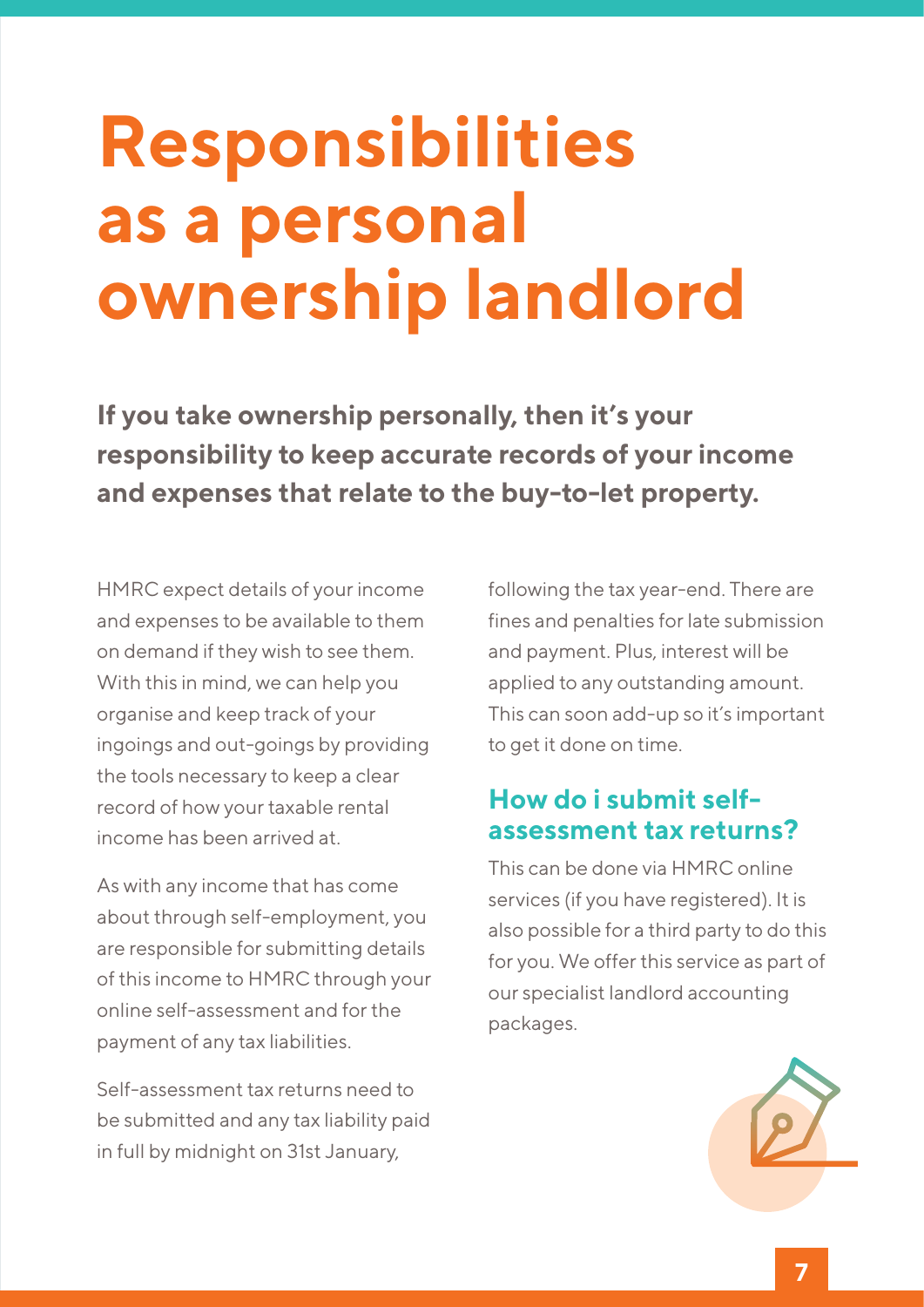### **Responsibilities as a personal ownership landlord**

**If you take ownership personally, then it's your responsibility to keep accurate records of your income and expenses that relate to the buy-to-let property.**

HMRC expect details of your income and expenses to be available to them on demand if they wish to see them. With this in mind, we can help you organise and keep track of your ingoings and out-goings by providing the tools necessary to keep a clear record of how your taxable rental income has been arrived at.

As with any income that has come about through self-employment, you are responsible for submitting details of this income to HMRC through your online self-assessment and for the payment of any tax liabilities.

Self-assessment tax returns need to be submitted and any tax liability paid in full by midnight on 31st January,

following the tax year-end. There are fines and penalties for late submission and payment. Plus, interest will be applied to any outstanding amount. This can soon add-up so it's important to get it done on time.

#### **How do i submit selfassessment tax returns?**

This can be done via HMRC online services (if you have registered). It is also possible for a third party to do this for you. We offer this service as part of our specialist landlord accounting packages.

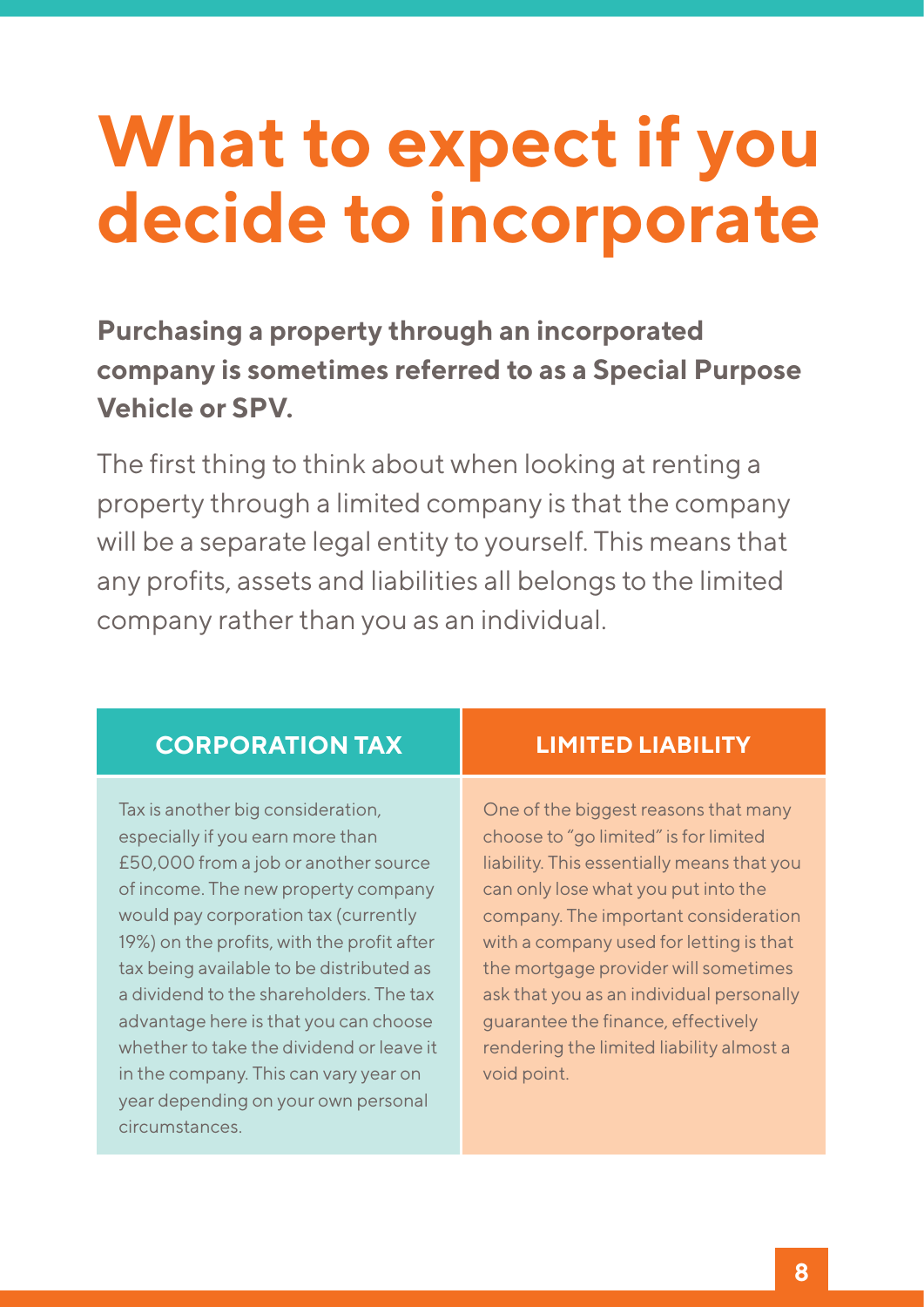### **What to expect if you decide to incorporate**

### **Purchasing a property through an incorporated company is sometimes referred to as a Special Purpose Vehicle or SPV.**

The first thing to think about when looking at renting a property through a limited company is that the company will be a separate legal entity to yourself. This means that any profits, assets and liabilities all belongs to the limited company rather than you as an individual.

#### **CORPORATION TAX LIMITED LIABILITY**

Tax is another big consideration, especially if you earn more than £50,000 from a job or another source of income. The new property company would pay corporation tax (currently 19%) on the profits, with the profit after tax being available to be distributed as a dividend to the shareholders. The tax advantage here is that you can choose whether to take the dividend or leave it in the company. This can vary year on year depending on your own personal circumstances.

One of the biggest reasons that many choose to "go limited" is for limited liability. This essentially means that you can only lose what you put into the company. The important consideration with a company used for letting is that the mortgage provider will sometimes ask that you as an individual personally guarantee the finance, effectively rendering the limited liability almost a void point.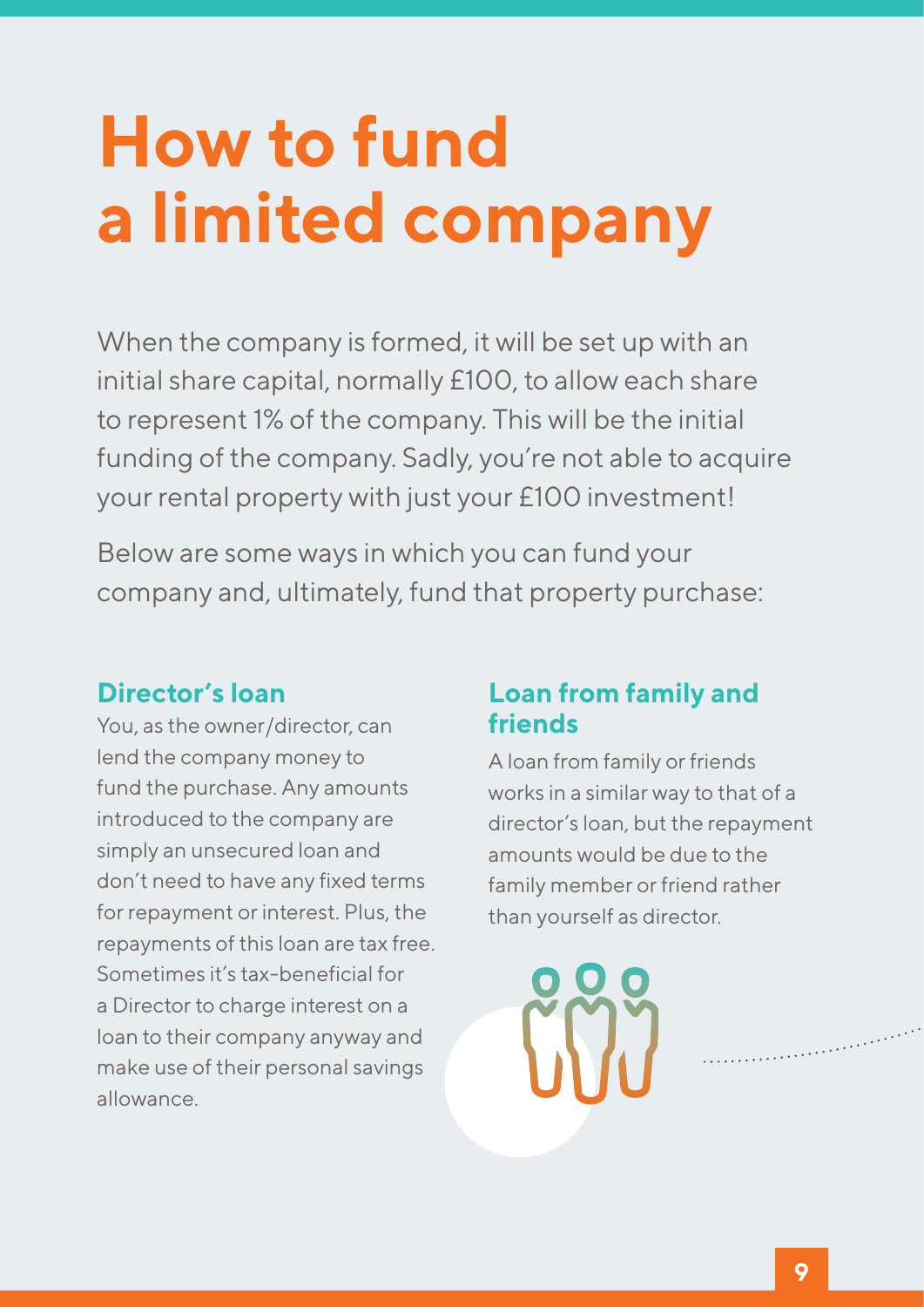# **How to fund a limited company**

When the company is formed, it will be set up with an initial share capital, normally £100, to allow each share to represent 1% of the company. This will be the initial funding of the company. Sadly, you're not able to acquire your rental property with just your £100 investment!

Below are some ways in which you can fund your company and, ultimately, fund that property purchase:

### **Director's loan**

You, as the owner/director, can lend the company money to fund the purchase. Any amounts introduced to the company are simply an unsecured loan and don't need to have any fixed terms for repayment or interest. Plus, the repayments of this loan are tax free. Sometimes it's tax-beneficial for a Director to charge interest on a loan to their company anyway and make use of their personal savings allowance.

#### **Loan from family and friends**

A loan from family or friends works in a similar way to that of a director's loan, but the repayment amounts would be due to the family member or friend rather than yourself as director.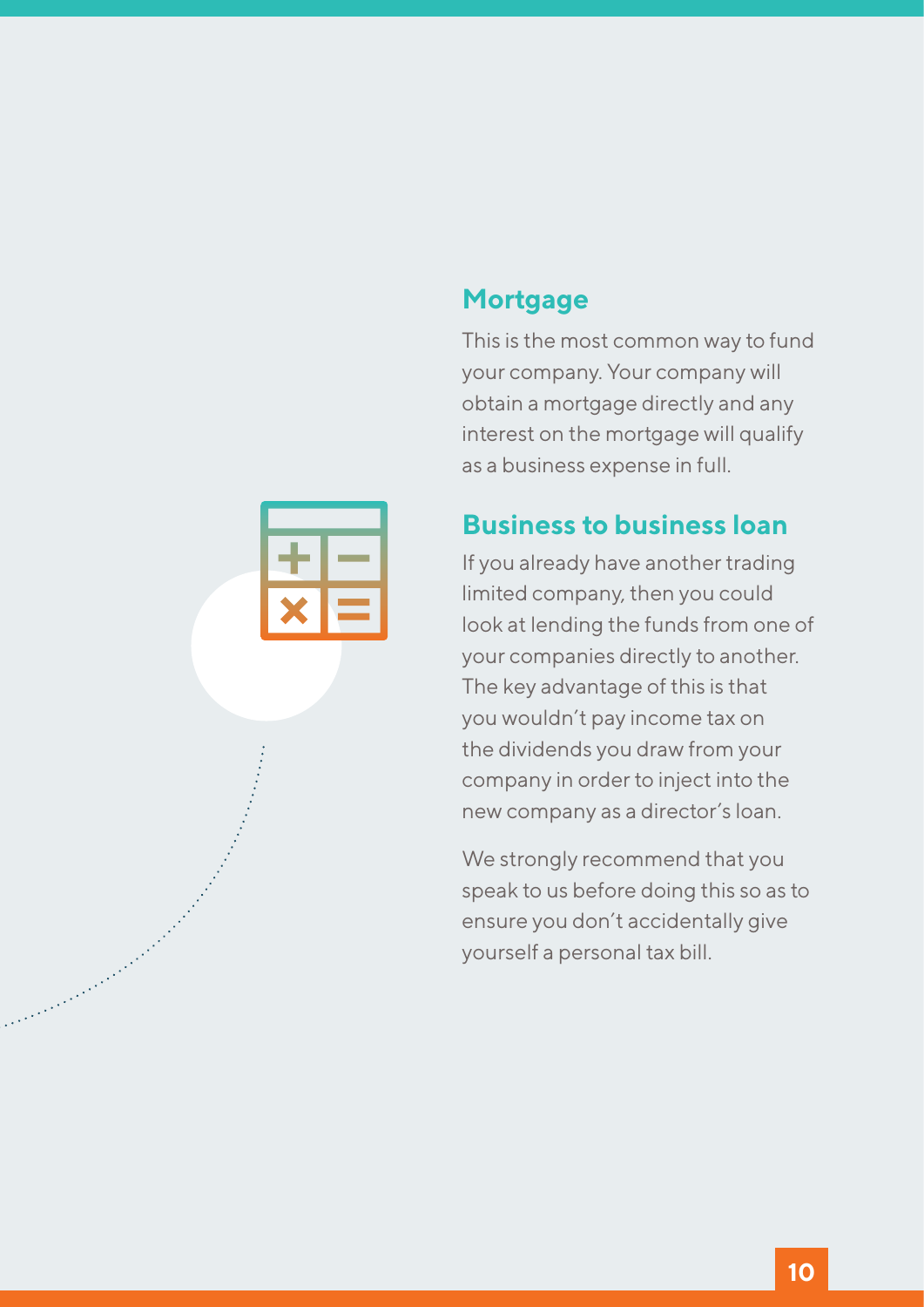#### **Mortgage**

This is the most common way to fund your company. Your company will obtain a mortgage directly and any interest on the mortgage will qualify as a business expense in full.

#### **Business to business loan**

If you already have another trading limited company, then you could look at lending the funds from one of your companies directly to another. The key advantage of this is that you wouldn't pay income tax on the dividends you draw from your company in order to inject into the new company as a director's loan.

We strongly recommend that you speak to us before doing this so as to ensure you don't accidentally give yourself a personal tax bill.



a and a brain and a brain and a brain and a brain and a brain and a brain and a brain and a brain and a brain<br>Carlo and a brain and a brain and a brain and a brain and a brain and a brain and a brain and a brain and a br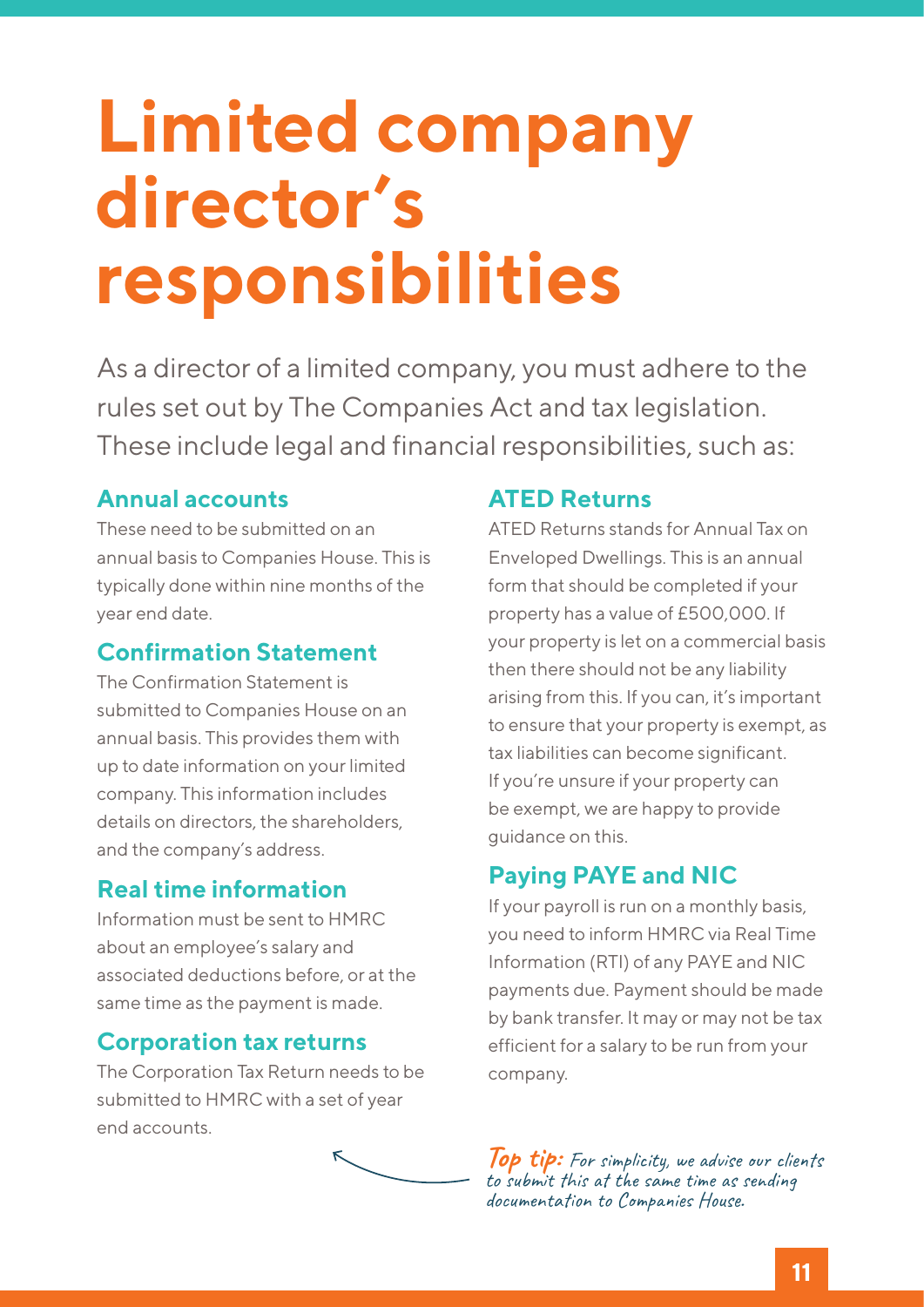### **Limited company director's responsibilities**

As a director of a limited company, you must adhere to the rules set out by The Companies Act and tax legislation. These include legal and financial responsibilities, such as:

#### **Annual accounts**

These need to be submitted on an annual basis to Companies House. This is typically done within nine months of the year end date.

#### **Confirmation Statement**

The Confirmation Statement is submitted to Companies House on an annual basis. This provides them with up to date information on your limited company. This information includes details on directors, the shareholders, and the company's address.

#### **Real time information**

Information must be sent to HMRC about an employee's salary and associated deductions before, or at the same time as the payment is made.

#### **Corporation tax returns**

The Corporation Tax Return needs to be submitted to HMRC with a set of year end accounts.



#### **ATED Returns**

ATED Returns stands for Annual Tax on Enveloped Dwellings. This is an annual form that should be completed if your property has a value of £500,000. If your property is let on a commercial basis then there should not be any liability arising from this. If you can, it's important to ensure that your property is exempt, as tax liabilities can become significant. If you're unsure if your property can be exempt, we are happy to provide guidance on this.

#### **Paying PAYE and NIC**

If your payroll is run on a monthly basis, you need to inform HMRC via Real Time Information (RTI) of any PAYE and NIC payments due. Payment should be made by bank transfer. It may or may not be tax efficient for a salary to be run from your company.

**Top tip:** For simplicity, we advise our clients to submit this at the same time as sending documentation to Companies House.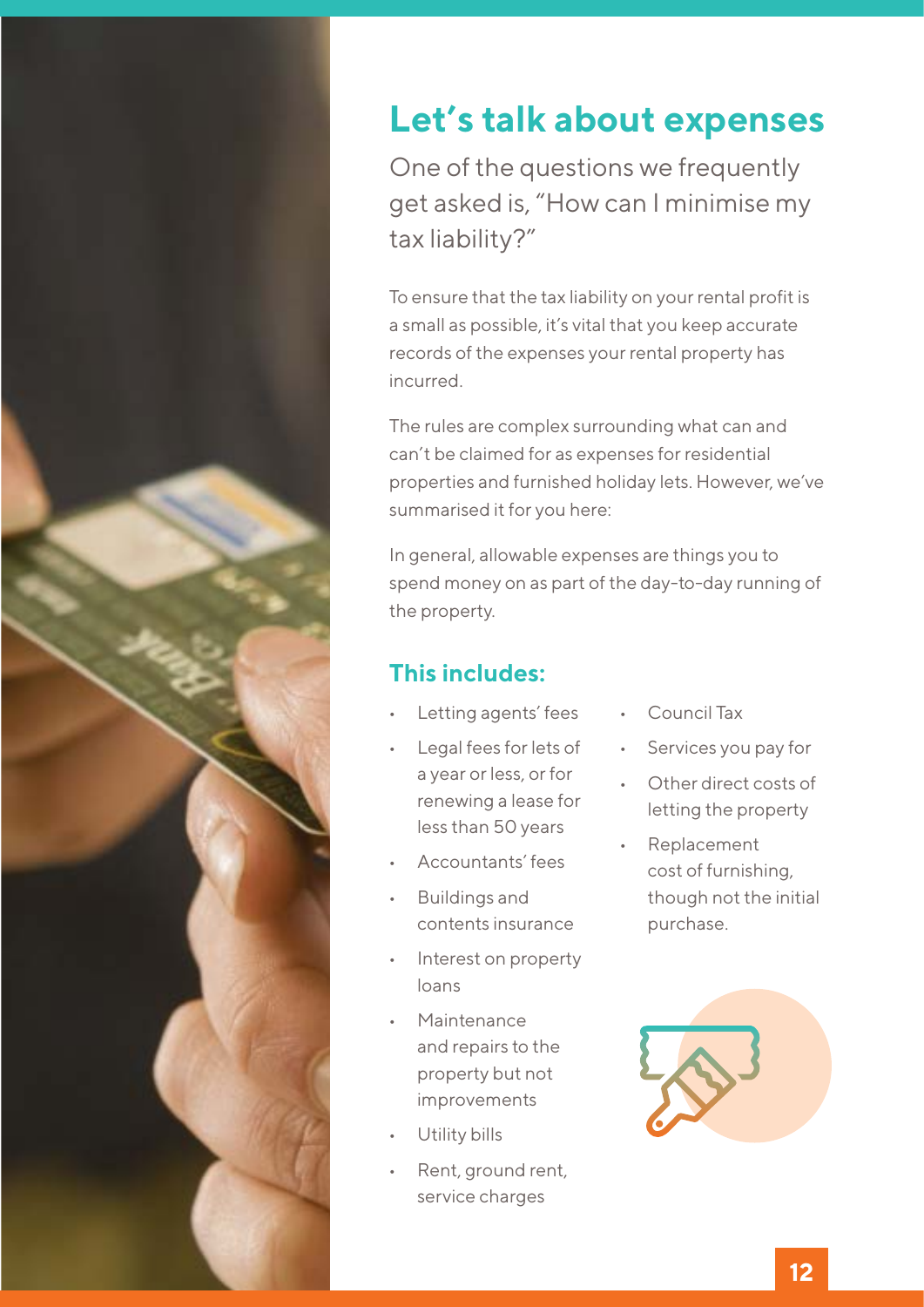

### **Let's talk about expenses**

One of the questions we frequently get asked is, "How can I minimise my tax liability?"

To ensure that the tax liability on your rental profit is a small as possible, it's vital that you keep accurate records of the expenses your rental property has incurred.

The rules are complex surrounding what can and can't be claimed for as expenses for residential properties and furnished holiday lets. However, we've summarised it for you here:

In general, allowable expenses are things you to spend money on as part of the day-to-day running of the property.

#### **This includes:**

- Letting agents' fees
- Legal fees for lets of a year or less, or for renewing a lease for less than 50 years
- Accountants' fees
- Buildings and contents insurance
- Interest on property loans
- **Maintenance** and repairs to the property but not improvements
- Utility bills
- Rent, ground rent, service charges
- **Council Tax**
- • Services you pay for
- Other direct costs of letting the property
- **Replacement** cost of furnishing, though not the initial purchase.

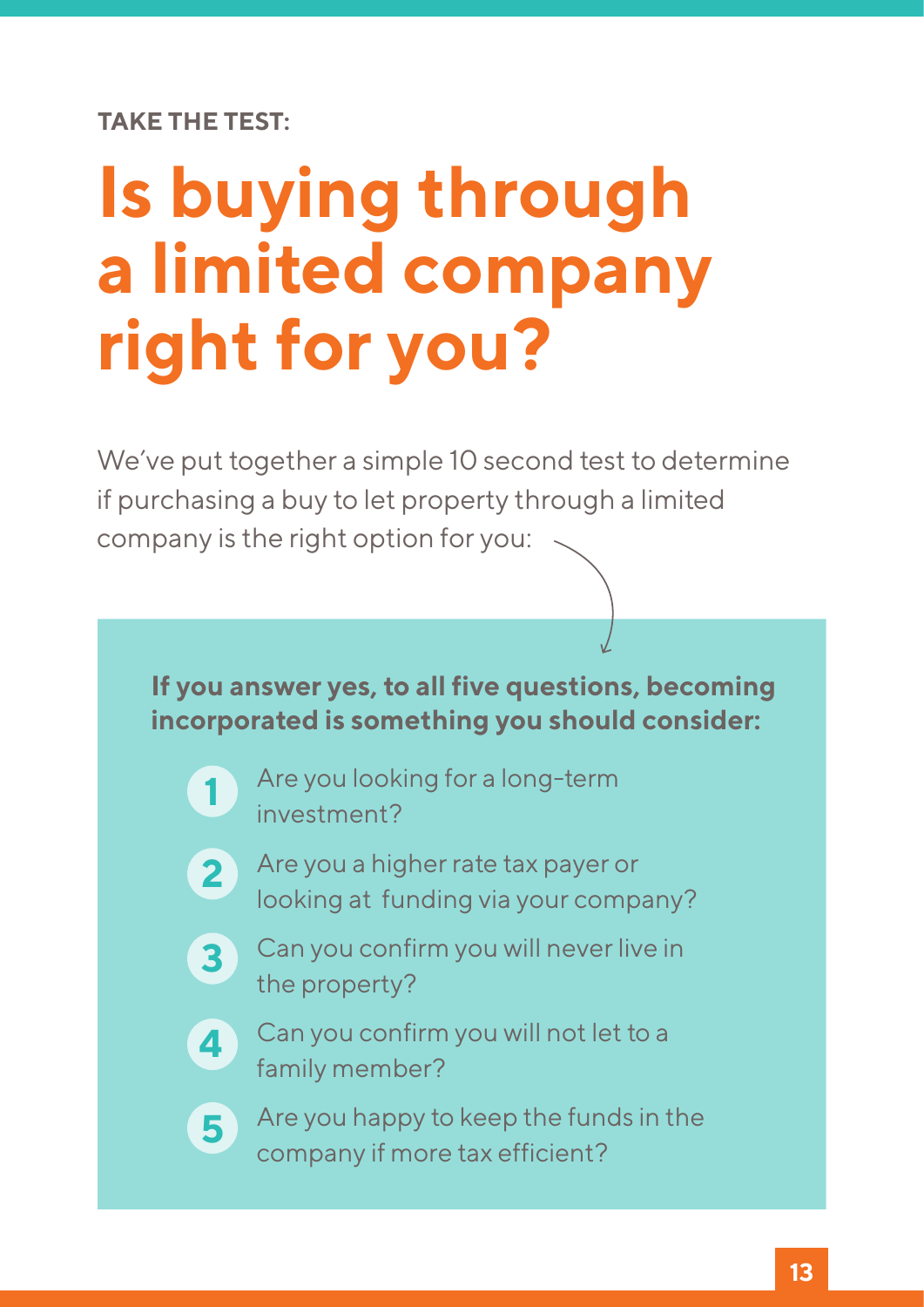**TAKE THE TEST:**

**1**

**5**

# **Is buying through a limited company right for you?**

We've put together a simple 10 second test to determine if purchasing a buy to let property through a limited company is the right option for you:



- Are you looking for a long-term investment?
- **2** Are you a higher rate tax payer or looking at funding via your company?
- **3** Can you confirm you will never live in the property?
- **4** Can you confirm you will not let to a family member?
	- Are you happy to keep the funds in the company if more tax efficient?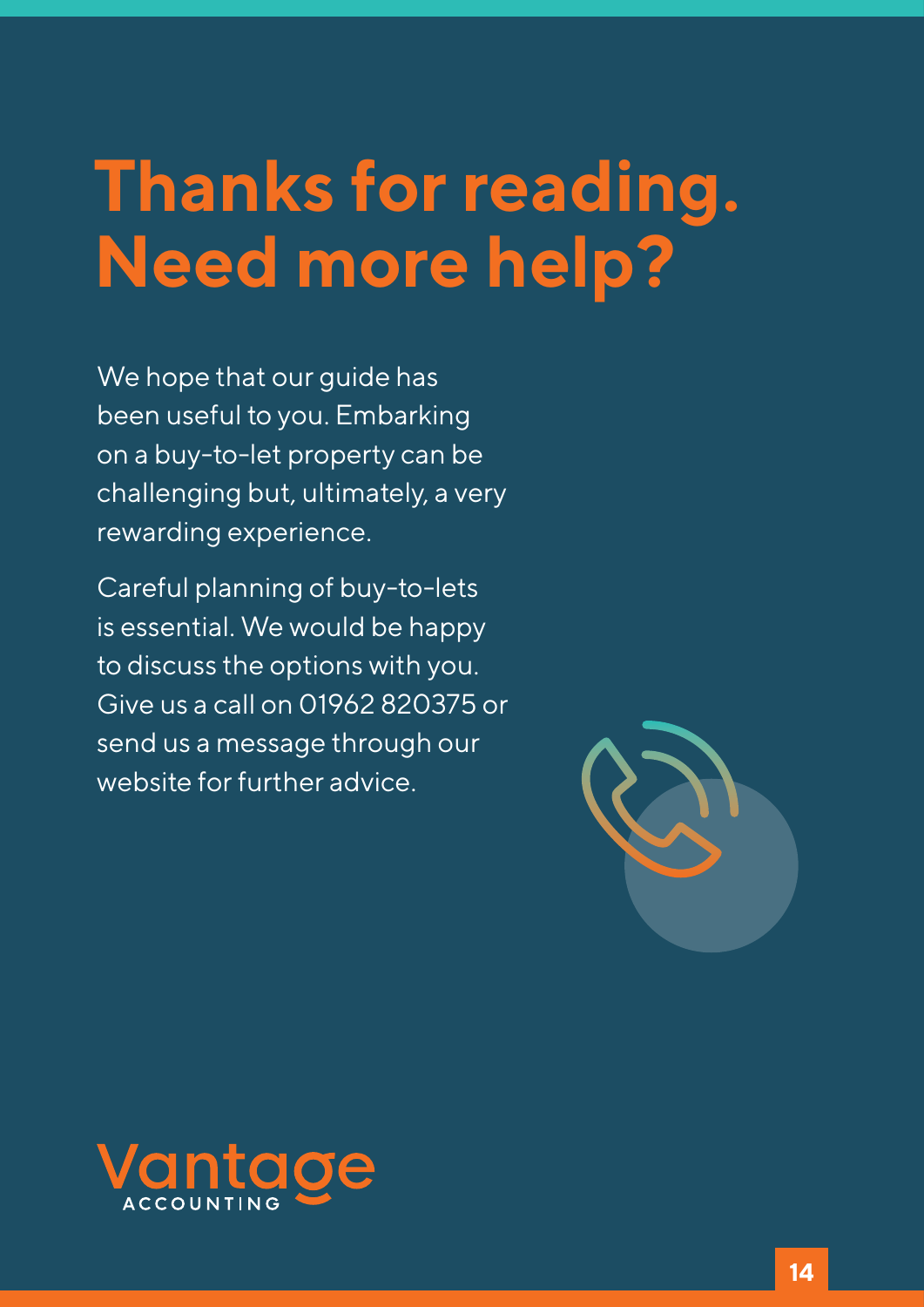### **Thanks for reading. Need more help?**

We hope that our guide has been useful to you. Embarking on a buy-to-let property can be challenging but, ultimately, a very rewarding experience.

Careful planning of buy-to-lets is essential. We would be happy to discuss the options with you. Give us a call on 01962 820375 or send us a message through our website for further advice.